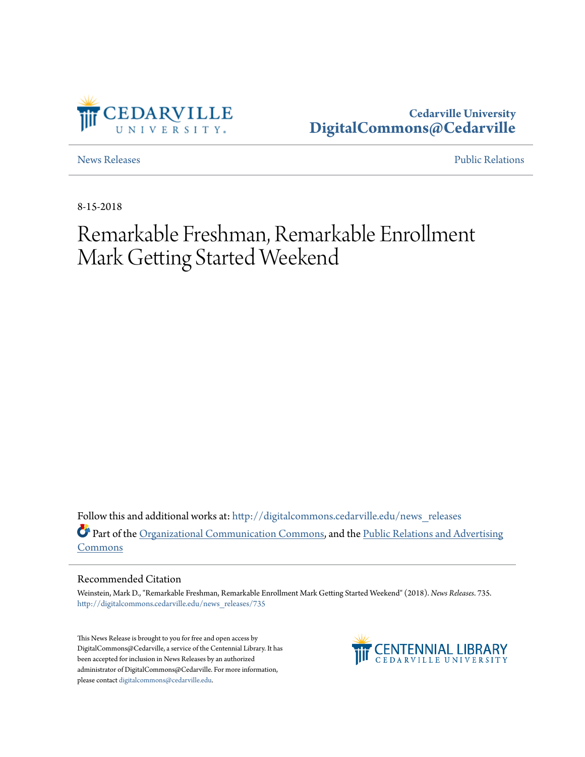

**Cedarville University [DigitalCommons@Cedarville](http://digitalcommons.cedarville.edu?utm_source=digitalcommons.cedarville.edu%2Fnews_releases%2F735&utm_medium=PDF&utm_campaign=PDFCoverPages)**

[News Releases](http://digitalcommons.cedarville.edu/news_releases?utm_source=digitalcommons.cedarville.edu%2Fnews_releases%2F735&utm_medium=PDF&utm_campaign=PDFCoverPages) **[Public Relations](http://digitalcommons.cedarville.edu/public_relations?utm_source=digitalcommons.cedarville.edu%2Fnews_releases%2F735&utm_medium=PDF&utm_campaign=PDFCoverPages)** 

8-15-2018

## Remarkable Freshman, Remarkable Enrollment Mark Getting Started Weekend

Follow this and additional works at: [http://digitalcommons.cedarville.edu/news\\_releases](http://digitalcommons.cedarville.edu/news_releases?utm_source=digitalcommons.cedarville.edu%2Fnews_releases%2F735&utm_medium=PDF&utm_campaign=PDFCoverPages) Part of the [Organizational Communication Commons](http://network.bepress.com/hgg/discipline/335?utm_source=digitalcommons.cedarville.edu%2Fnews_releases%2F735&utm_medium=PDF&utm_campaign=PDFCoverPages), and the [Public Relations and Advertising](http://network.bepress.com/hgg/discipline/336?utm_source=digitalcommons.cedarville.edu%2Fnews_releases%2F735&utm_medium=PDF&utm_campaign=PDFCoverPages) [Commons](http://network.bepress.com/hgg/discipline/336?utm_source=digitalcommons.cedarville.edu%2Fnews_releases%2F735&utm_medium=PDF&utm_campaign=PDFCoverPages)

## Recommended Citation

Weinstein, Mark D., "Remarkable Freshman, Remarkable Enrollment Mark Getting Started Weekend" (2018). *News Releases*. 735. [http://digitalcommons.cedarville.edu/news\\_releases/735](http://digitalcommons.cedarville.edu/news_releases/735?utm_source=digitalcommons.cedarville.edu%2Fnews_releases%2F735&utm_medium=PDF&utm_campaign=PDFCoverPages)

This News Release is brought to you for free and open access by DigitalCommons@Cedarville, a service of the Centennial Library. It has been accepted for inclusion in News Releases by an authorized administrator of DigitalCommons@Cedarville. For more information, please contact [digitalcommons@cedarville.edu.](mailto:digitalcommons@cedarville.edu)

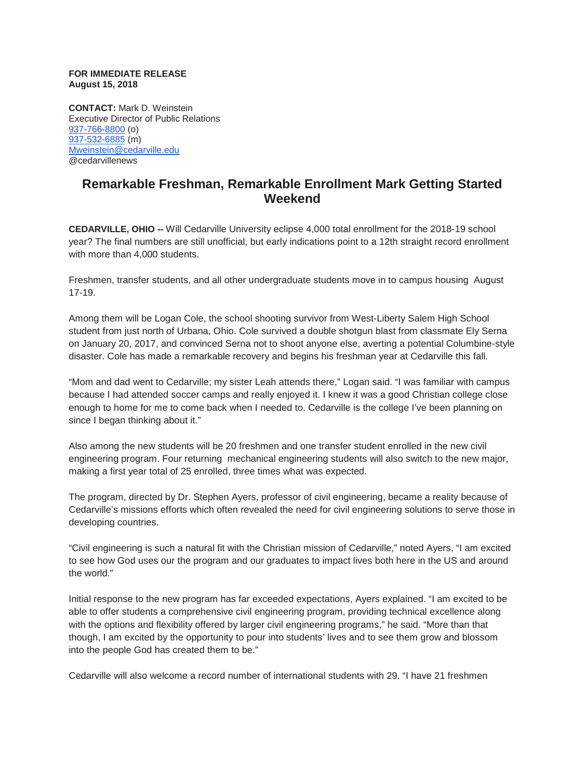## **FOR IMMEDIATE RELEASE August 15, 2018**

**CONTACT:** Mark D. Weinstein Executive Director of Public Relations [937-766-8800](tel:937-766-8800) (o) [937-532-6885](tel:937-532-6885) (m) [Mweinstein@cedarville.edu](mailto:Mweinstein@cedarville.edu) @cedarvillenews

## **Remarkable Freshman, Remarkable Enrollment Mark Getting Started Weekend**

**CEDARVILLE, OHIO --** Will Cedarville University eclipse 4,000 total enrollment for the 2018-19 school year? The final numbers are still unofficial, but early indications point to a 12th straight record enrollment with more than 4,000 students.

Freshmen, transfer students, and all other undergraduate students move in to campus housing August 17-19.

Among them will be Logan Cole, the school shooting survivor from West-Liberty Salem High School student from just north of Urbana, Ohio. Cole survived a double shotgun blast from classmate Ely Serna on January 20, 2017, and convinced Serna not to shoot anyone else, averting a potential Columbine-style disaster. Cole has made a remarkable recovery and begins his freshman year at Cedarville this fall.

"Mom and dad went to Cedarville; my sister Leah attends there," Logan said. "I was familiar with campus because I had attended soccer camps and really enjoyed it. I knew it was a good Christian college close enough to home for me to come back when I needed to. Cedarville is the college I've been planning on since I began thinking about it."

Also among the new students will be 20 freshmen and one transfer student enrolled in the new civil engineering program. Four returning mechanical engineering students will also switch to the new major, making a first year total of 25 enrolled, three times what was expected.

The program, directed by Dr. Stephen Ayers, professor of civil engineering, became a reality because of Cedarville's missions efforts which often revealed the need for civil engineering solutions to serve those in developing countries.

"Civil engineering is such a natural fit with the Christian mission of Cedarville," noted Ayers, "I am excited to see how God uses our the program and our graduates to impact lives both here in the US and around the world."

Initial response to the new program has far exceeded expectations, Ayers explained. "I am excited to be able to offer students a comprehensive civil engineering program, providing technical excellence along with the options and flexibility offered by larger civil engineering programs," he said. "More than that though, I am excited by the opportunity to pour into students' lives and to see them grow and blossom into the people God has created them to be."

Cedarville will also welcome a record number of international students with 29. "I have 21 freshmen